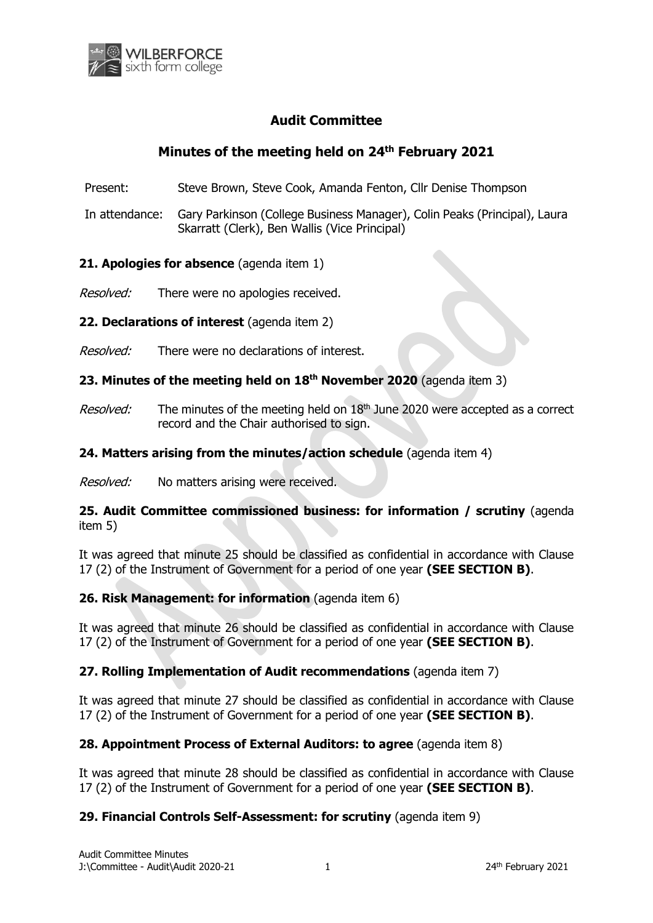

# **Audit Committee**

# **Minutes of the meeting held on 24th February 2021**

Present: Steve Brown, Steve Cook, Amanda Fenton, Cllr Denise Thompson

In attendance: Gary Parkinson (College Business Manager), Colin Peaks (Principal), Laura Skarratt (Clerk), Ben Wallis (Vice Principal)

### **21. Apologies for absence** (agenda item 1)

Resolved: There were no apologies received.

**22. Declarations of interest** (agenda item 2)

*Resolved:* There were no declarations of interest.

### **23. Minutes of the meeting held on 18th November 2020** (agenda item 3)

Resolved: The minutes of the meeting held on 18<sup>th</sup> June 2020 were accepted as a correct record and the Chair authorised to sign.

### **24. Matters arising from the minutes/action schedule** (agenda item 4)

Resolved: No matters arising were received.

**25. Audit Committee commissioned business: for information / scrutiny** (agenda item 5)

It was agreed that minute 25 should be classified as confidential in accordance with Clause 17 (2) of the Instrument of Government for a period of one year **(SEE SECTION B)**.

### **26. Risk Management: for information** (agenda item 6)

It was agreed that minute 26 should be classified as confidential in accordance with Clause 17 (2) of the Instrument of Government for a period of one year **(SEE SECTION B)**.

### **27. Rolling Implementation of Audit recommendations** (agenda item 7)

It was agreed that minute 27 should be classified as confidential in accordance with Clause 17 (2) of the Instrument of Government for a period of one year **(SEE SECTION B)**.

### **28. Appointment Process of External Auditors: to agree** (agenda item 8)

It was agreed that minute 28 should be classified as confidential in accordance with Clause 17 (2) of the Instrument of Government for a period of one year **(SEE SECTION B)**.

### **29. Financial Controls Self-Assessment: for scrutiny** (agenda item 9)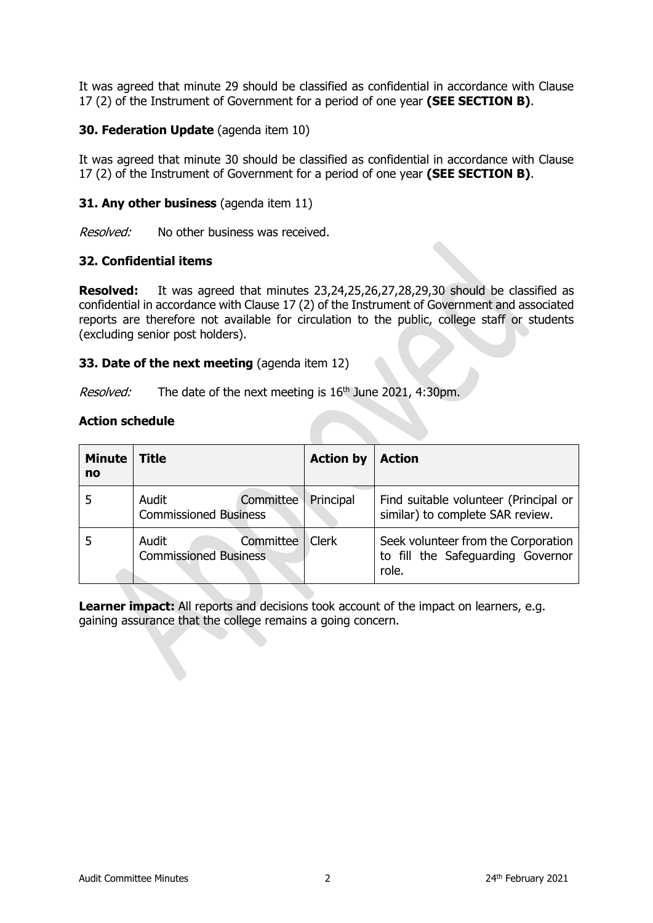It was agreed that minute 29 should be classified as confidential in accordance with Clause 17 (2) of the Instrument of Government for a period of one year **(SEE SECTION B)**.

### **30. Federation Update** (agenda item 10)

It was agreed that minute 30 should be classified as confidential in accordance with Clause 17 (2) of the Instrument of Government for a period of one year **(SEE SECTION B)**.

### **31. Any other business** (agenda item 11)

Resolved: No other business was received.

### **32. Confidential items**

**Resolved:** It was agreed that minutes 23,24,25,26,27,28,29,30 should be classified as confidential in accordance with Clause 17 (2) of the Instrument of Government and associated reports are therefore not available for circulation to the public, college staff or students (excluding senior post holders).

### **33. Date of the next meeting** (agenda item 12)

*Resolved:* The date of the next meeting is  $16<sup>th</sup>$  June 2021, 4:30pm.

#### **Action schedule**

| <b>Minute</b><br>no | <b>Title</b>                                       | <b>Action by</b> | <b>Action</b>                                                                     |
|---------------------|----------------------------------------------------|------------------|-----------------------------------------------------------------------------------|
|                     | Audit<br>Committee<br><b>Commissioned Business</b> | Principal        | Find suitable volunteer (Principal or<br>similar) to complete SAR review.         |
|                     | Committee<br>Audit<br><b>Commissioned Business</b> | <b>Clerk</b>     | Seek volunteer from the Corporation<br>to fill the Safeguarding Governor<br>role. |

**Learner impact:** All reports and decisions took account of the impact on learners, e.g. gaining assurance that the college remains a going concern.